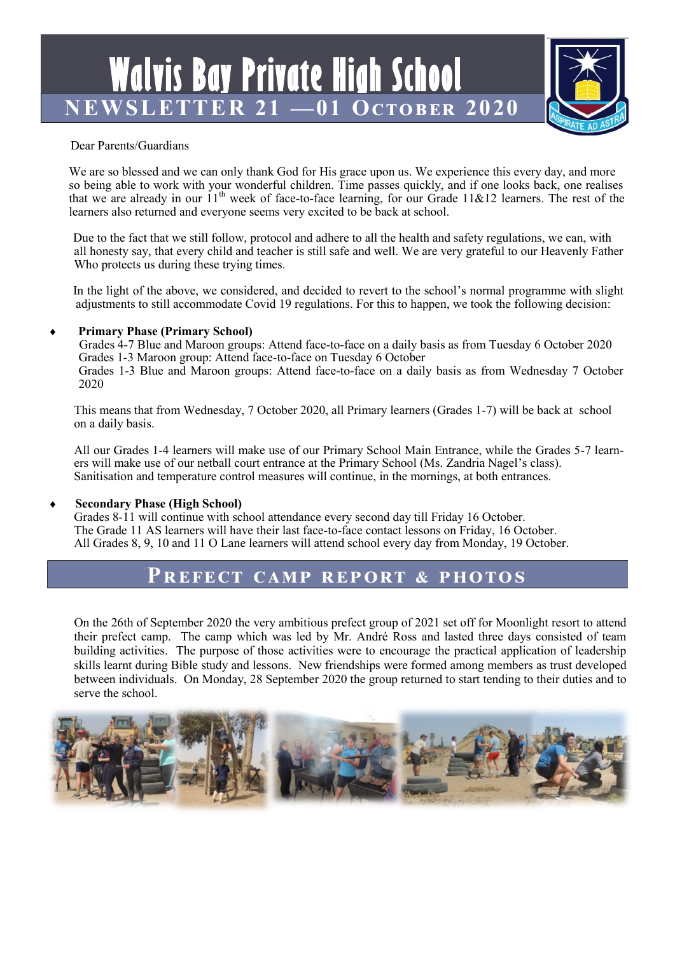**Walvis Bay Private High School NEWSLETTER 21 —01 October 2020**



### Dear Parents/Guardians

We are so blessed and we can only thank God for His grace upon us. We experience this every day, and more so being able to work with your wonderful children. Time passes quickly, and if one looks back, one realises that we are already in our  $11<sup>th</sup>$  week of face-to-face learning, for our Grade 11&12 learners. The rest of the learners also returned and everyone seems very excited to be back at school.

Due to the fact that we still follow, protocol and adhere to all the health and safety regulations, we can, with all honesty say, that every child and teacher is still safe and well. We are very grateful to our Heavenly Father Who protects us during these trying times.

In the light of the above, we considered, and decided to revert to the school's normal programme with slight adjustments to still accommodate Covid 19 regulations. For this to happen, we took the following decision:

### **Primary Phase (Primary School)**

Grades 4-7 Blue and Maroon groups: Attend face-to-face on a daily basis as from Tuesday 6 October 2020 Grades 1-3 Maroon group: Attend face-to-face on Tuesday 6 October Grades 1-3 Blue and Maroon groups: Attend face-to-face on a daily basis as from Wednesday 7 October 2020

This means that from Wednesday, 7 October 2020, all Primary learners (Grades 1-7) will be back at school on a daily basis.

All our Grades 1-4 learners will make use of our Primary School Main Entrance, while the Grades 5-7 learners will make use of our netball court entrance at the Primary School (Ms. Zandria Nagel's class). Sanitisation and temperature control measures will continue, in the mornings, at both entrances.

### **Secondary Phase (High School)**

Grades 8-11 will continue with school attendance every second day till Friday 16 October. The Grade 11 AS learners will have their last face-to-face contact lessons on Friday, 16 October. All Grades 8, 9, 10 and 11 O Lane learners will attend school every day from Monday, 19 October.

### **Prefect camp report & photos**

On the 26th of September 2020 the very ambitious prefect group of 2021 set off for Moonlight resort to attend their prefect camp. The camp which was led by Mr. André Ross and lasted three days consisted of team building activities. The purpose of those activities were to encourage the practical application of leadership skills learnt during Bible study and lessons. New friendships were formed among members as trust developed between individuals. On Monday, 28 September 2020 the group returned to start tending to their duties and to serve the school.